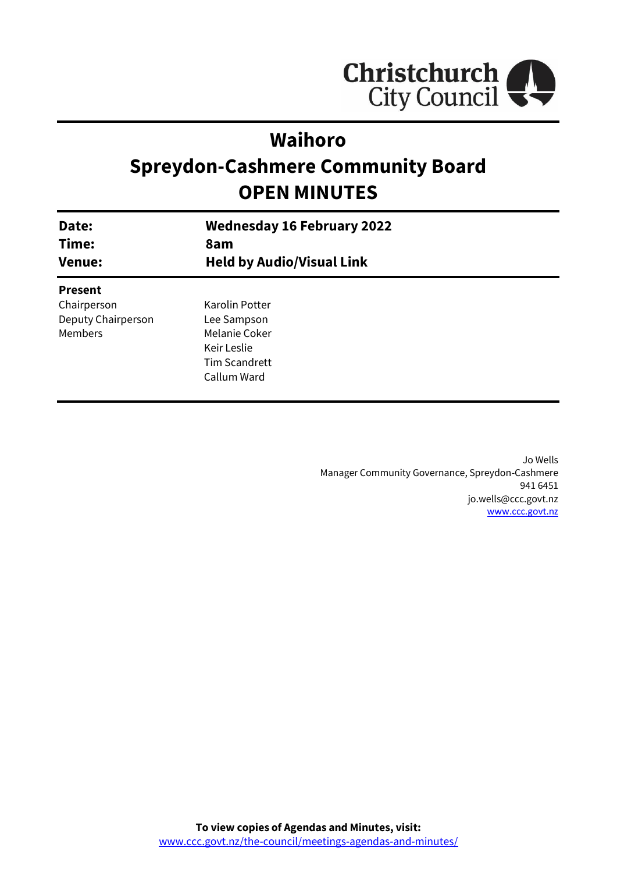

# **Waihoro**

# **Spreydon-Cashmere Community Board OPEN MINUTES**

| Date:                                                                 | <b>Wednesday 16 February 2022</b>                                                                    |
|-----------------------------------------------------------------------|------------------------------------------------------------------------------------------------------|
| Time:                                                                 | 8am                                                                                                  |
| <b>Venue:</b>                                                         | <b>Held by Audio/Visual Link</b>                                                                     |
| <b>Present</b><br>Chairperson<br>Deputy Chairperson<br><b>Members</b> | Karolin Potter<br>Lee Sampson<br>Melanie Coker<br>Keir Leslie<br><b>Tim Scandrett</b><br>Callum Ward |

Jo Wells Manager Community Governance, Spreydon-Cashmere 941 6451 jo.wells@ccc.govt.nz [www.ccc.govt.nz](http://www.ccc.govt.nz/)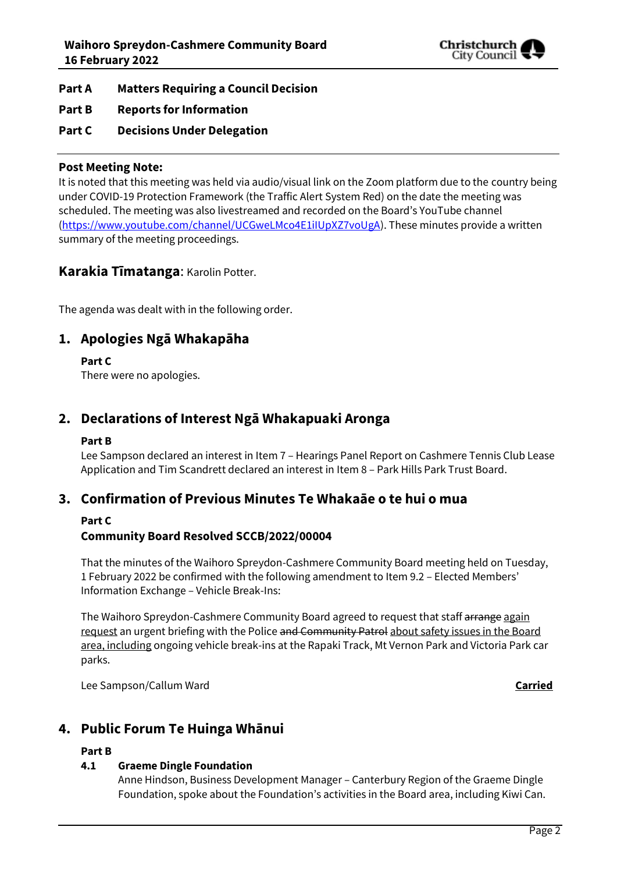

- **Part A Matters Requiring a Council Decision**
- **Part B Reports for Information**
- **Part C Decisions Under Delegation**

## **Post Meeting Note:**

It is noted that this meeting was held via audio/visual link on the Zoom platform due to the country being under COVID-19 Protection Framework (the Traffic Alert System Red) on the date the meeting was scheduled. The meeting was also livestreamed and recorded on the Board's YouTube channel [\(https://www.youtube.com/channel/UCGweLMco4E1iIUpXZ7voUgA\)](https://www.youtube.com/channel/UCGweLMco4E1iIUpXZ7voUgA). These minutes provide a written summary of the meeting proceedings.

## **Karakia Tīmatanga**: Karolin Potter.

The agenda was dealt with in the following order.

## **1. Apologies Ngā Whakapāha**

**Part C** 

There were no apologies.

## **2. Declarations of Interest Ngā Whakapuaki Aronga**

## **Part B**

Lee Sampson declared an interest in Item 7 – Hearings Panel Report on Cashmere Tennis Club Lease Application and Tim Scandrett declared an interest in Item 8 – Park Hills Park Trust Board.

## **3. Confirmation of Previous Minutes Te Whakaāe o te hui o mua**

## **Part C**

## **Community Board Resolved SCCB/2022/00004**

That the minutes of the Waihoro Spreydon-Cashmere Community Board meeting held on Tuesday, 1 February 2022 be confirmed with the following amendment to Item 9.2 – Elected Members' Information Exchange – Vehicle Break-Ins:

The Waihoro Spreydon-Cashmere Community Board agreed to request that staff arrange again request an urgent briefing with the Police and Community Patrol about safety issues in the Board area, including ongoing vehicle break-ins at the Rapaki Track, Mt Vernon Park and Victoria Park car parks.

Lee Sampson/Callum Ward **Carried**

## **4. Public Forum Te Huinga Whānui**

## **Part B**

## **4.1 Graeme Dingle Foundation**

Anne Hindson, Business Development Manager – Canterbury Region of the Graeme Dingle Foundation, spoke about the Foundation's activities in the Board area, including Kiwi Can.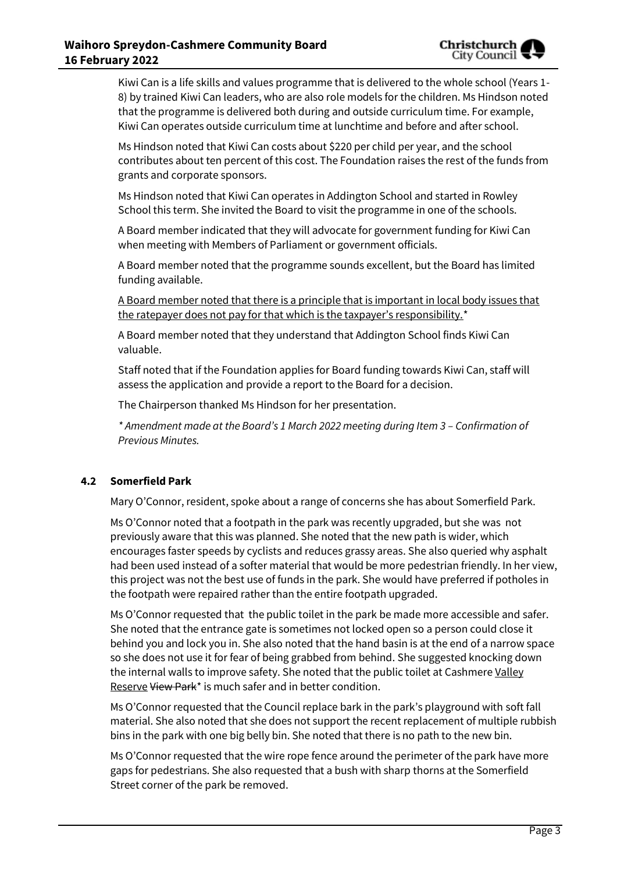Kiwi Can is a life skills and values programme that is delivered to the whole school (Years 1- 8) by trained Kiwi Can leaders, who are also role models for the children. Ms Hindson noted that the programme is delivered both during and outside curriculum time. For example, Kiwi Can operates outside curriculum time at lunchtime and before and after school.

Ms Hindson noted that Kiwi Can costs about \$220 per child per year, and the school contributes about ten percent of this cost. The Foundation raises the rest of the funds from grants and corporate sponsors.

Ms Hindson noted that Kiwi Can operates in Addington School and started in Rowley School this term. She invited the Board to visit the programme in one of the schools.

A Board member indicated that they will advocate for government funding for Kiwi Can when meeting with Members of Parliament or government officials.

A Board member noted that the programme sounds excellent, but the Board has limited funding available.

A Board member noted that there is a principle that is important in local body issues that the ratepayer does not pay for that which is the taxpayer's responsibility.<sup>\*</sup>

A Board member noted that they understand that Addington School finds Kiwi Can valuable.

Staff noted that if the Foundation applies for Board funding towards Kiwi Can, staff will assess the application and provide a report to the Board for a decision.

The Chairperson thanked Ms Hindson for her presentation.

*\* Amendment made at the Board's 1 March 2022 meeting during Item 3 – Confirmation of Previous Minutes.*

## **4.2 Somerfield Park**

Mary O'Connor, resident, spoke about a range of concerns she has about Somerfield Park.

Ms O'Connor noted that a footpath in the park was recently upgraded, but she was not previously aware that this was planned. She noted that the new path is wider, which encourages faster speeds by cyclists and reduces grassy areas. She also queried why asphalt had been used instead of a softer material that would be more pedestrian friendly. In her view, this project was not the best use of funds in the park. She would have preferred if potholes in the footpath were repaired rather than the entire footpath upgraded.

Ms O'Connor requested that the public toilet in the park be made more accessible and safer. She noted that the entrance gate is sometimes not locked open so a person could close it behind you and lock you in. She also noted that the hand basin is at the end of a narrow space so she does not use it for fear of being grabbed from behind. She suggested knocking down the internal walls to improve safety. She noted that the public toilet at Cashmere Valley Reserve View Park\* is much safer and in better condition.

Ms O'Connor requested that the Council replace bark in the park's playground with soft fall material. She also noted that she does not support the recent replacement of multiple rubbish bins in the park with one big belly bin. She noted that there is no path to the new bin.

Ms O'Connor requested that the wire rope fence around the perimeter of the park have more gaps for pedestrians. She also requested that a bush with sharp thorns at the Somerfield Street corner of the park be removed.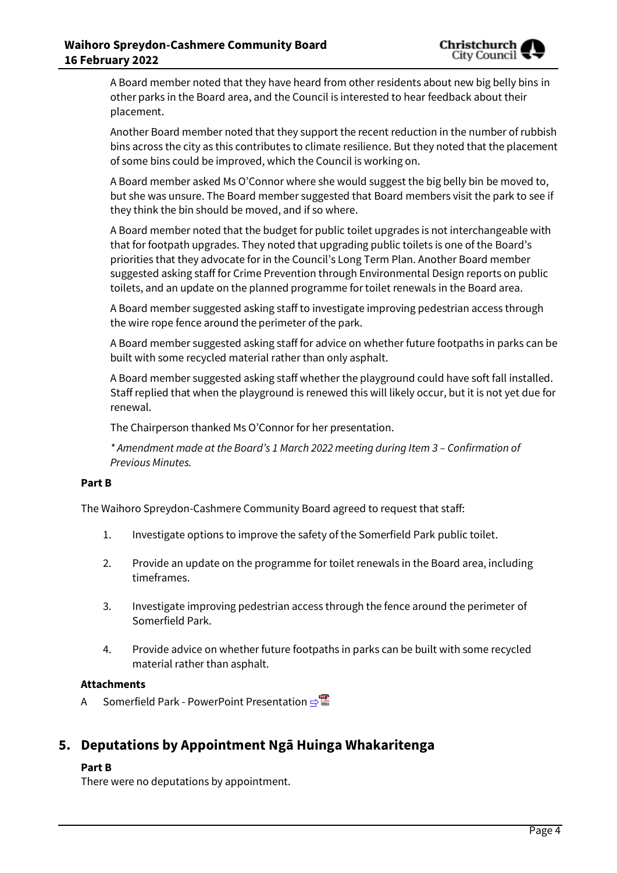A Board member noted that they have heard from other residents about new big belly bins in other parks in the Board area, and the Council is interested to hear feedback about their placement.

Another Board member noted that they support the recent reduction in the number of rubbish bins across the city as this contributes to climate resilience. But they noted that the placement of some bins could be improved, which the Council is working on.

A Board member asked Ms O'Connor where she would suggest the big belly bin be moved to, but she was unsure. The Board member suggested that Board members visit the park to see if they think the bin should be moved, and if so where.

A Board member noted that the budget for public toilet upgrades is not interchangeable with that for footpath upgrades. They noted that upgrading public toilets is one of the Board's priorities that they advocate for in the Council's Long Term Plan. Another Board member suggested asking staff for Crime Prevention through Environmental Design reports on public toilets, and an update on the planned programme for toilet renewals in the Board area.

A Board member suggested asking staff to investigate improving pedestrian access through the wire rope fence around the perimeter of the park.

A Board member suggested asking staff for advice on whether future footpaths in parks can be built with some recycled material rather than only asphalt.

A Board member suggested asking staff whether the playground could have soft fall installed. Staff replied that when the playground is renewed this will likely occur, but it is not yet due for renewal.

The Chairperson thanked Ms O'Connor for her presentation.

*\* Amendment made at the Board's 1 March 2022 meeting during Item 3 – Confirmation of Previous Minutes.*

## **Part B**

The Waihoro Spreydon-Cashmere Community Board agreed to request that staff:

- 1. Investigate options to improve the safety of the Somerfield Park public toilet.
- 2. Provide an update on the programme for toilet renewals in the Board area, including timeframes.
- 3. Investigate improving pedestrian access through the fence around the perimeter of Somerfield Park.
- 4. Provide advice on whether future footpaths in parks can be built with some recycled material rather than asphalt.

## **Attachments**

A Somerfield Park - PowerPoint Presentation ⇒

## **5. Deputations by Appointment Ngā Huinga Whakaritenga**

## **Part B**

There were no deputations by appointment.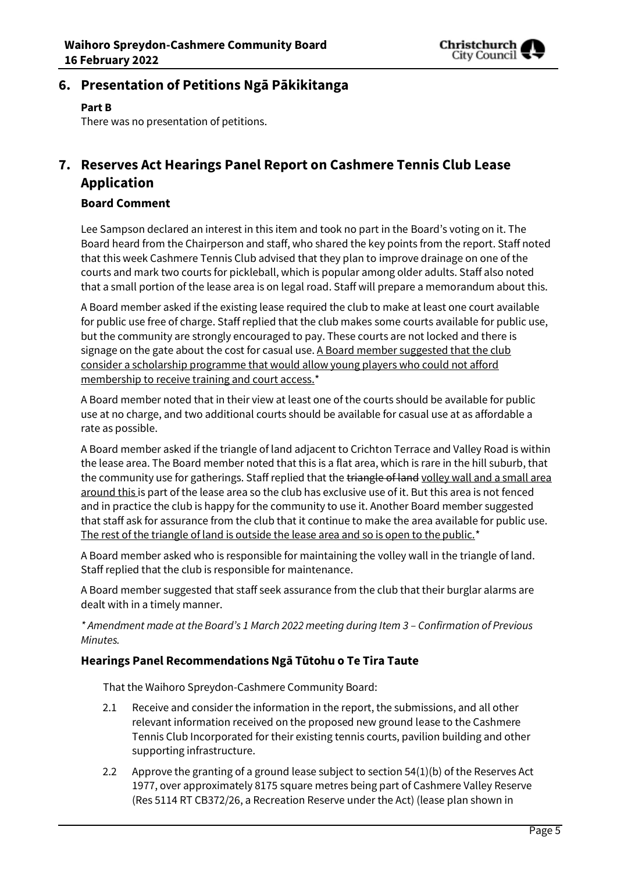

## **6. Presentation of Petitions Ngā Pākikitanga**

## **Part B**

There was no presentation of petitions.

## **7. Reserves Act Hearings Panel Report on Cashmere Tennis Club Lease Application**

## **Board Comment**

Lee Sampson declared an interest in this item and took no part in the Board's voting on it. The Board heard from the Chairperson and staff, who shared the key points from the report. Staff noted that this week Cashmere Tennis Club advised that they plan to improve drainage on one of the courts and mark two courts for pickleball, which is popular among older adults. Staff also noted that a small portion of the lease area is on legal road. Staff will prepare a memorandum about this.

A Board member asked if the existing lease required the club to make at least one court available for public use free of charge. Staff replied that the club makes some courts available for public use, but the community are strongly encouraged to pay. These courts are not locked and there is signage on the gate about the cost for casual use. A Board member suggested that the club consider a scholarship programme that would allow young players who could not afford membership to receive training and court access.<sup>\*</sup>

A Board member noted that in their view at least one of the courts should be available for public use at no charge, and two additional courts should be available for casual use at as affordable a rate as possible.

A Board member asked if the triangle of land adjacent to Crichton Terrace and Valley Road is within the lease area. The Board member noted that this is a flat area, which is rare in the hill suburb, that the community use for gatherings. Staff replied that the triangle of land yolley wall and a small area around this is part of the lease area so the club has exclusive use of it. But this area is not fenced and in practice the club is happy for the community to use it. Another Board member suggested that staff ask for assurance from the club that it continue to make the area available for public use. The rest of the triangle of land is outside the lease area and so is open to the public.\*

A Board member asked who is responsible for maintaining the volley wall in the triangle of land. Staff replied that the club is responsible for maintenance.

A Board member suggested that staff seek assurance from the club that their burglar alarms are dealt with in a timely manner.

*\* Amendment made at the Board's 1 March 2022 meeting during Item 3 – Confirmation of Previous Minutes.*

## **Hearings Panel Recommendations Ngā Tūtohu o Te Tira Taute**

That the Waihoro Spreydon-Cashmere Community Board:

- 2.1 Receive and consider the information in the report, the submissions, and all other relevant information received on the proposed new ground lease to the Cashmere Tennis Club Incorporated for their existing tennis courts, pavilion building and other supporting infrastructure.
- 2.2 Approve the granting of a ground lease subject to section 54(1)(b) of the Reserves Act 1977, over approximately 8175 square metres being part of Cashmere Valley Reserve (Res 5114 RT CB372/26, a Recreation Reserve under the Act) (lease plan shown in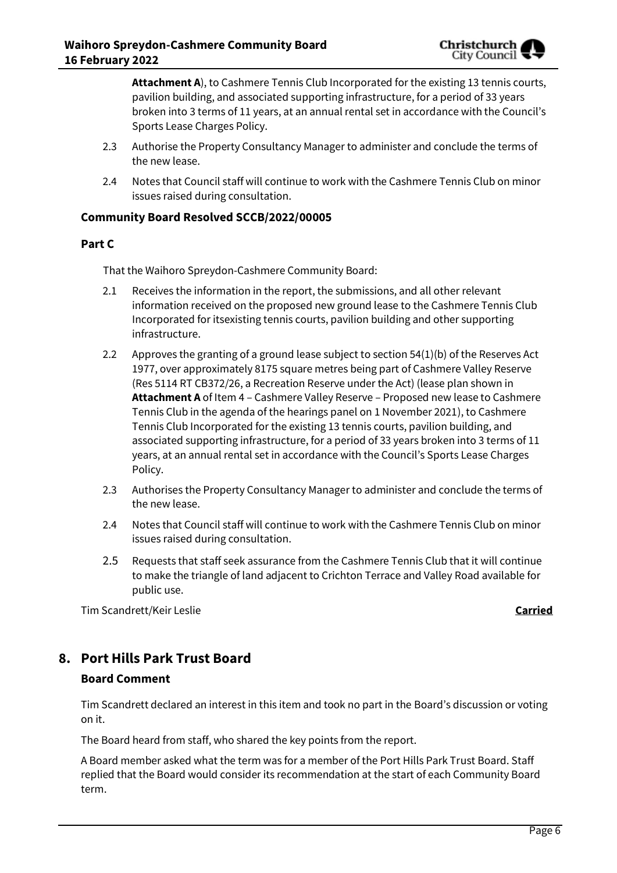**Attachment A**), to Cashmere Tennis Club Incorporated for the existing 13 tennis courts, pavilion building, and associated supporting infrastructure, for a period of 33 years broken into 3 terms of 11 years, at an annual rental set in accordance with the Council's Sports Lease Charges Policy.

- 2.3 Authorise the Property Consultancy Manager to administer and conclude the terms of the new lease.
- 2.4 Notes that Council staff will continue to work with the Cashmere Tennis Club on minor issues raised during consultation.

## **Community Board Resolved SCCB/2022/00005**

## **Part C**

That the Waihoro Spreydon-Cashmere Community Board:

- 2.1 Receives the information in the report, the submissions, and all other relevant information received on the proposed new ground lease to the Cashmere Tennis Club Incorporated for itsexisting tennis courts, pavilion building and other supporting infrastructure.
- 2.2 Approves the granting of a ground lease subject to section 54(1)(b) of the Reserves Act 1977, over approximately 8175 square metres being part of Cashmere Valley Reserve (Res 5114 RT CB372/26, a Recreation Reserve under the Act) (lease plan shown in **Attachment A** of Item 4 – Cashmere Valley Reserve – Proposed new lease to Cashmere Tennis Club in the agenda of the hearings panel on 1 November 2021), to Cashmere Tennis Club Incorporated for the existing 13 tennis courts, pavilion building, and associated supporting infrastructure, for a period of 33 years broken into 3 terms of 11 years, at an annual rental set in accordance with the Council's Sports Lease Charges Policy.
- 2.3 Authorises the Property Consultancy Manager to administer and conclude the terms of the new lease.
- 2.4 Notes that Council staff will continue to work with the Cashmere Tennis Club on minor issues raised during consultation.
- 2.5 Requests that staff seek assurance from the Cashmere Tennis Club that it will continue to make the triangle of land adjacent to Crichton Terrace and Valley Road available for public use.

Tim Scandrett/Keir Leslie **Carried**

## **8. Port Hills Park Trust Board**

## **Board Comment**

Tim Scandrett declared an interest in this item and took no part in the Board's discussion or voting on it.

The Board heard from staff, who shared the key points from the report.

A Board member asked what the term was for a member of the Port Hills Park Trust Board. Staff replied that the Board would consider its recommendation at the start of each Community Board term.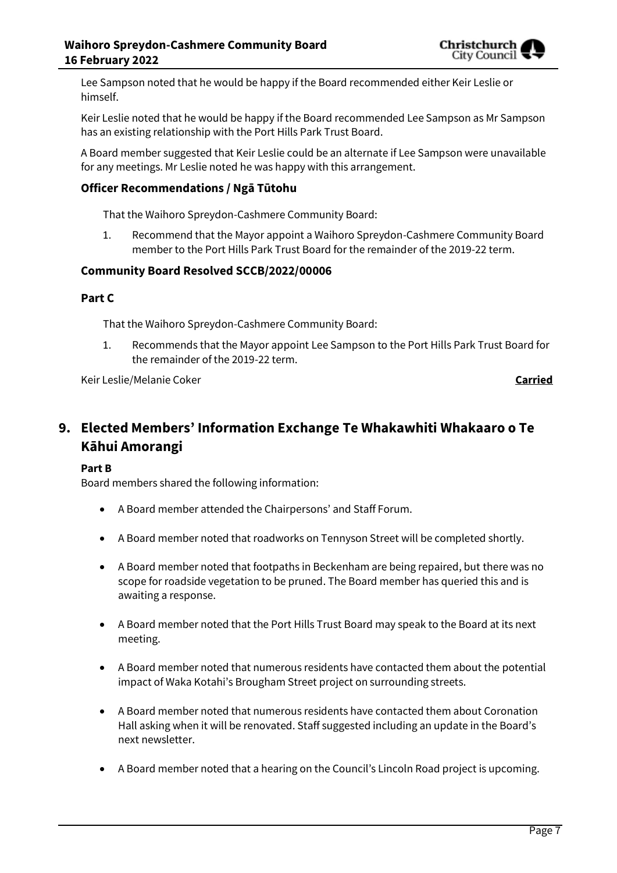

Lee Sampson noted that he would be happy if the Board recommended either Keir Leslie or himself.

Keir Leslie noted that he would be happy if the Board recommended Lee Sampson as Mr Sampson has an existing relationship with the Port Hills Park Trust Board.

A Board member suggested that Keir Leslie could be an alternate if Lee Sampson were unavailable for any meetings. Mr Leslie noted he was happy with this arrangement.

## **Officer Recommendations / Ngā Tūtohu**

That the Waihoro Spreydon-Cashmere Community Board:

1. Recommend that the Mayor appoint a Waihoro Spreydon-Cashmere Community Board member to the Port Hills Park Trust Board for the remainder of the 2019-22 term.

## **Community Board Resolved SCCB/2022/00006**

#### **Part C**

That the Waihoro Spreydon-Cashmere Community Board:

1. Recommends that the Mayor appoint Lee Sampson to the Port Hills Park Trust Board for the remainder of the 2019-22 term.

Keir Leslie/Melanie Coker **Carried**

## **9. Elected Members' Information Exchange Te Whakawhiti Whakaaro o Te Kāhui Amorangi**

## **Part B**

Board members shared the following information:

- A Board member attended the Chairpersons' and Staff Forum.
- A Board member noted that roadworks on Tennyson Street will be completed shortly.
- A Board member noted that footpaths in Beckenham are being repaired, but there was no scope for roadside vegetation to be pruned. The Board member has queried this and is awaiting a response.
- A Board member noted that the Port Hills Trust Board may speak to the Board at its next meeting.
- A Board member noted that numerous residents have contacted them about the potential impact of Waka Kotahi's Brougham Street project on surrounding streets.
- A Board member noted that numerous residents have contacted them about Coronation Hall asking when it will be renovated. Staff suggested including an update in the Board's next newsletter.
- A Board member noted that a hearing on the Council's Lincoln Road project is upcoming.